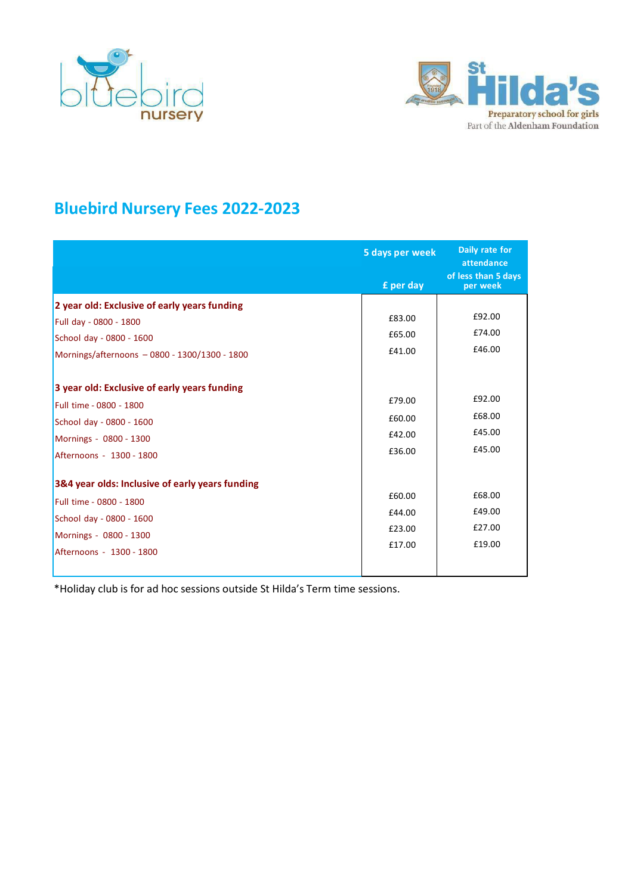



## **Bluebird Nursery Fees 2022-2023**

|                                                                                                                                                                                                                                                                                                                                                                                                | 5 days per week                                                                        | Daily rate for<br>attendance                                                           |
|------------------------------------------------------------------------------------------------------------------------------------------------------------------------------------------------------------------------------------------------------------------------------------------------------------------------------------------------------------------------------------------------|----------------------------------------------------------------------------------------|----------------------------------------------------------------------------------------|
|                                                                                                                                                                                                                                                                                                                                                                                                | £ per day                                                                              | of less than 5 days<br>per week                                                        |
| 2 year old: Exclusive of early years funding<br>Full day - 0800 - 1800<br>School day - 0800 - 1600<br>Mornings/afternoons - 0800 - 1300/1300 - 1800<br>3 year old: Exclusive of early years funding<br>Full time - 0800 - 1800<br>School day - 0800 - 1600<br>Mornings - 0800 - 1300<br>Afternoons - 1300 - 1800<br>3&4 year olds: Inclusive of early years funding<br>Full time - 0800 - 1800 | £83.00<br>£65.00<br>£41.00<br>£79.00<br>£60.00<br>£42.00<br>£36.00<br>£60.00<br>£44.00 | £92.00<br>£74.00<br>£46.00<br>£92.00<br>£68.00<br>£45.00<br>£45.00<br>£68.00<br>£49.00 |
| School day - 0800 - 1600<br>Mornings - 0800 - 1300<br>Afternoons - 1300 - 1800                                                                                                                                                                                                                                                                                                                 | £23.00<br>£17.00                                                                       | £27.00<br>£19.00                                                                       |

\*Holiday club is for ad hoc sessions outside St Hilda's Term time sessions.